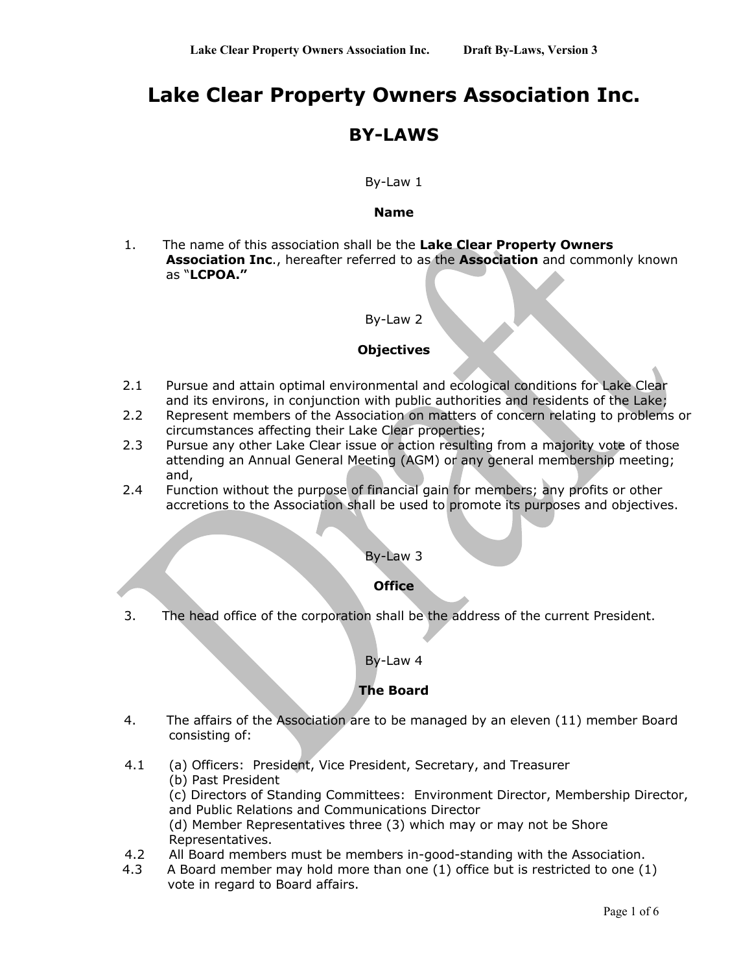# **Lake Clear Property Owners Association Inc.**

## **BY-LAWS**

### By-Law 1

#### **Name**

1. The name of this association shall be the **Lake Clear Property Owners Association Inc**., hereafter referred to as the **Association** and commonly known as "**LCPOA."**

#### By-Law 2

## **Objectives**

- 2.1 Pursue and attain optimal environmental and ecological conditions for Lake Clear and its environs, in conjunction with public authorities and residents of the Lake;
- 2.2 Represent members of the Association on matters of concern relating to problems or circumstances affecting their Lake Clear properties;
- 2.3 Pursue any other Lake Clear issue or action resulting from a majority vote of those attending an Annual General Meeting (AGM) or any general membership meeting; and,
- 2.4 Function without the purpose of financial gain for members; any profits or other accretions to the Association shall be used to promote its purposes and objectives.

#### By-Law 3

#### **Office**

3. The head office of the corporation shall be the address of the current President.

#### By-Law 4

## **The Board**

- 4. The affairs of the Association are to be managed by an eleven (11) member Board consisting of:
- 4.1 (a) Officers: President, Vice President, Secretary, and Treasurer
	- (b) Past President

(c) Directors of Standing Committees: Environment Director, Membership Director, and Public Relations and Communications Director

(d) Member Representatives three (3) which may or may not be Shore Representatives.

- 4.2 All Board members must be members in-good-standing with the Association.
- 4.3 A Board member may hold more than one (1) office but is restricted to one (1) vote in regard to Board affairs.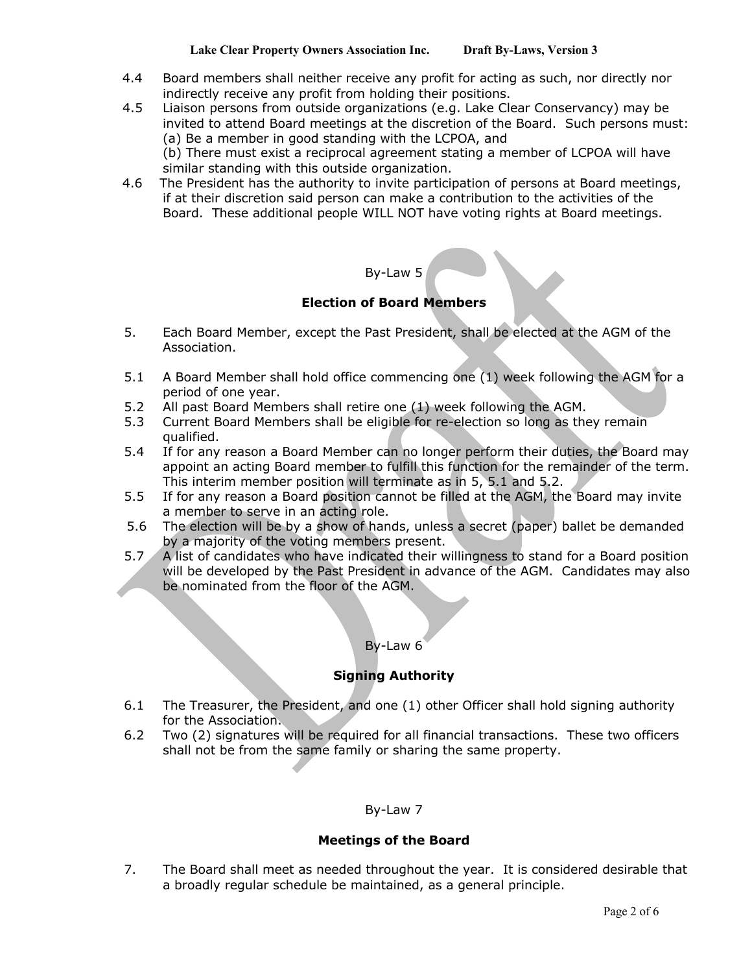- 4.4 Board members shall neither receive any profit for acting as such, nor directly nor indirectly receive any profit from holding their positions.
- 4.5 Liaison persons from outside organizations (e.g. Lake Clear Conservancy) may be invited to attend Board meetings at the discretion of the Board. Such persons must: (a) Be a member in good standing with the LCPOA, and (b) There must exist a reciprocal agreement stating a member of LCPOA will have
- similar standing with this outside organization. 4.6 The President has the authority to invite participation of persons at Board meetings, if at their discretion said person can make a contribution to the activities of the
	- Board. These additional people WILL NOT have voting rights at Board meetings.

## By-Law 5

## **Election of Board Members**

- 5. Each Board Member, except the Past President, shall be elected at the AGM of the Association.
- 5.1 A Board Member shall hold office commencing one (1) week following the AGM for a period of one year.
- 5.2 All past Board Members shall retire one (1) week following the AGM.
- 5.3 Current Board Members shall be eligible for re-election so long as they remain qualified.
- 5.4 If for any reason a Board Member can no longer perform their duties, the Board may appoint an acting Board member to fulfill this function for the remainder of the term. This interim member position will terminate as in 5, 5.1 and 5.2.
- 5.5 If for any reason a Board position cannot be filled at the AGM, the Board may invite a member to serve in an acting role.
- 5.6 The election will be by a show of hands, unless a secret (paper) ballet be demanded by a majority of the voting members present.
- 5.7 A list of candidates who have indicated their willingness to stand for a Board position will be developed by the Past President in advance of the AGM. Candidates may also be nominated from the floor of the AGM.

#### By-Law 6

## **Signing Authority**

- 6.1 The Treasurer, the President, and one (1) other Officer shall hold signing authority for the Association.
- 6.2 Two (2) signatures will be required for all financial transactions. These two officers shall not be from the same family or sharing the same property.

#### By-Law 7

## **Meetings of the Board**

7. The Board shall meet as needed throughout the year. It is considered desirable that a broadly regular schedule be maintained, as a general principle.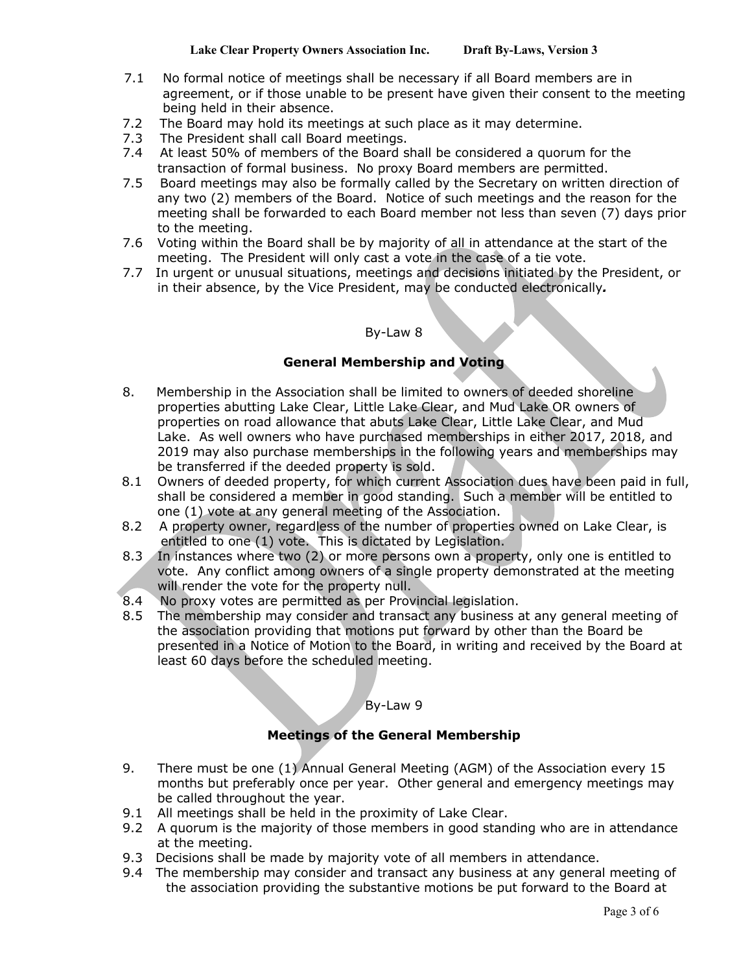- 7.1 No formal notice of meetings shall be necessary if all Board members are in agreement, or if those unable to be present have given their consent to the meeting being held in their absence.
- 7.2 The Board may hold its meetings at such place as it may determine.
- 7.3 The President shall call Board meetings.
- 7.4 At least 50% of members of the Board shall be considered a quorum for the transaction of formal business. No proxy Board members are permitted.
- 7.5 Board meetings may also be formally called by the Secretary on written direction of any two (2) members of the Board. Notice of such meetings and the reason for the meeting shall be forwarded to each Board member not less than seven (7) days prior to the meeting.
- 7.6 Voting within the Board shall be by majority of all in attendance at the start of the meeting. The President will only cast a vote in the case of a tie vote.
- 7.7 In urgent or unusual situations, meetings and decisions initiated by the President, or in their absence, by the Vice President, may be conducted electronically*.*

## By-Law 8

## **General Membership and Voting**

- 8. Membership in the Association shall be limited to owners of deeded shoreline properties abutting Lake Clear, Little Lake Clear, and Mud Lake OR owners of properties on road allowance that abuts Lake Clear, Little Lake Clear, and Mud Lake. As well owners who have purchased memberships in either 2017, 2018, and 2019 may also purchase memberships in the following years and memberships may be transferred if the deeded property is sold.
- 8.1 Owners of deeded property, for which current Association dues have been paid in full, shall be considered a member in good standing. Such a member will be entitled to one (1) vote at any general meeting of the Association.
- 8.2 A property owner, regardless of the number of properties owned on Lake Clear, is entitled to one (1) vote. This is dictated by Legislation.
- 8.3 In instances where two (2) or more persons own a property, only one is entitled to vote. Any conflict among owners of a single property demonstrated at the meeting will render the vote for the property null.
- 8.4 No proxy votes are permitted as per Provincial legislation.<br>8.5 The membership may consider and transact any business a
- The membership may consider and transact any business at any general meeting of the association providing that motions put forward by other than the Board be presented in a Notice of Motion to the Board, in writing and received by the Board at least 60 days before the scheduled meeting.

## By-Law 9

## **Meetings of the General Membership**

- 9. There must be one (1) Annual General Meeting (AGM) of the Association every 15 months but preferably once per year. Other general and emergency meetings may be called throughout the year.
- 9.1 All meetings shall be held in the proximity of Lake Clear.
- 9.2 A quorum is the majority of those members in good standing who are in attendance at the meeting.
- 9.3 Decisions shall be made by majority vote of all members in attendance.
- 9.4 The membership may consider and transact any business at any general meeting of the association providing the substantive motions be put forward to the Board at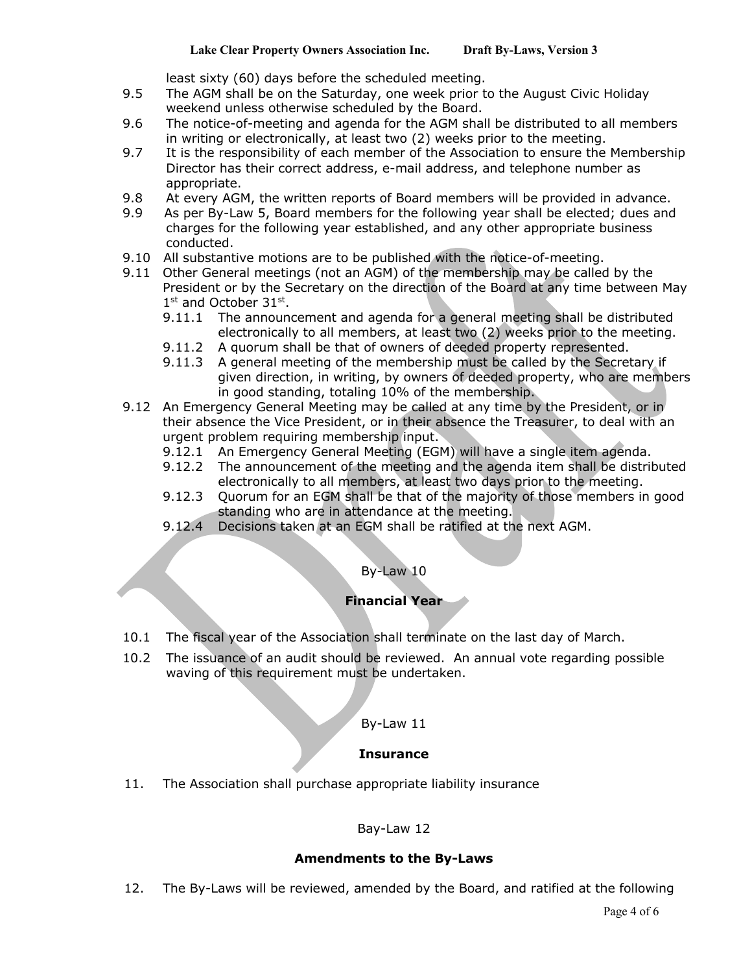least sixty (60) days before the scheduled meeting.

- 9.5 The AGM shall be on the Saturday, one week prior to the August Civic Holiday weekend unless otherwise scheduled by the Board.
- 9.6 The notice-of-meeting and agenda for the AGM shall be distributed to all members in writing or electronically, at least two (2) weeks prior to the meeting.
- 9.7 It is the responsibility of each member of the Association to ensure the Membership Director has their correct address, e-mail address, and telephone number as appropriate.
- 9.8 At every AGM, the written reports of Board members will be provided in advance.
- 9.9 As per By-Law 5, Board members for the following year shall be elected; dues and charges for the following year established, and any other appropriate business conducted.
- 9.10 All substantive motions are to be published with the notice-of-meeting.
- 9.11 Other General meetings (not an AGM) of the membership may be called by the President or by the Secretary on the direction of the Board at any time between May 1<sup>st</sup> and October 31<sup>st</sup>.
	- 9.11.1 The announcement and agenda for a general meeting shall be distributed electronically to all members, at least two (2) weeks prior to the meeting.
	- 9.11.2 A quorum shall be that of owners of deeded property represented.
	- 9.11.3 A general meeting of the membership must be called by the Secretary if given direction, in writing, by owners of deeded property, who are members in good standing, totaling 10% of the membership.
- 9.12 An Emergency General Meeting may be called at any time by the President, or in their absence the Vice President, or in their absence the Treasurer, to deal with an urgent problem requiring membership input.
	- 9.12.1 An Emergency General Meeting (EGM) will have a single item agenda.
	- 9.12.2 The announcement of the meeting and the agenda item shall be distributed electronically to all members, at least two days prior to the meeting.
	- 9.12.3 Ouorum for an EGM shall be that of the majority of those members in good standing who are in attendance at the meeting.
	- 9.12.4 Decisions taken at an EGM shall be ratified at the next AGM.

## By-Law 10

## **Financial Year**

- 10.1 The fiscal year of the Association shall terminate on the last day of March.
- 10.2 The issuance of an audit should be reviewed. An annual vote regarding possible waving of this requirement must be undertaken.

#### By-Law 11

#### **Insurance**

11. The Association shall purchase appropriate liability insurance

## Bay-Law 12

## **Amendments to the By-Laws**

12. The By-Laws will be reviewed, amended by the Board, and ratified at the following